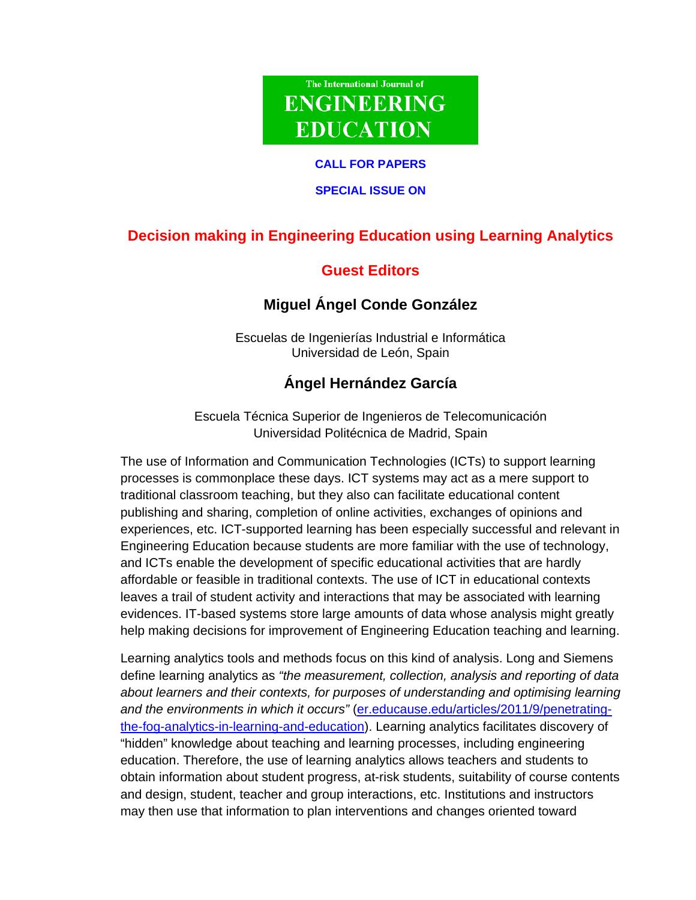# The International Journal of **ENGINEERING EDUCATION**

#### **CALL FOR PAPERS**

### **SPECIAL ISSUE ON**

## **Decision making in Engineering Education using Learning Analytics**

### **Guest Editors**

### **Miguel Ángel Conde González**

Escuelas de Ingenierías Industrial e Informática Universidad de León, Spain

# **Ángel Hernández García**

Escuela Técnica Superior de Ingenieros de Telecomunicación Universidad Politécnica de Madrid, Spain

The use of Information and Communication Technologies (ICTs) to support learning processes is commonplace these days. ICT systems may act as a mere support to traditional classroom teaching, but they also can facilitate educational content publishing and sharing, completion of online activities, exchanges of opinions and experiences, etc. ICT-supported learning has been especially successful and relevant in Engineering Education because students are more familiar with the use of technology, and ICTs enable the development of specific educational activities that are hardly affordable or feasible in traditional contexts. The use of ICT in educational contexts leaves a trail of student activity and interactions that may be associated with learning evidences. IT-based systems store large amounts of data whose analysis might greatly help making decisions for improvement of Engineering Education teaching and learning.

Learning analytics tools and methods focus on this kind of analysis. Long and Siemens define learning analytics as *"the measurement, collection, analysis and reporting of data about learners and their contexts, for purposes of understanding and optimising learning and the environments in which it occurs"* (er.educause.edu/articles/2011/9/penetratingthe-fog-analytics-in-learning-and-education). Learning analytics facilitates discovery of "hidden" knowledge about teaching and learning processes, including engineering education. Therefore, the use of learning analytics allows teachers and students to obtain information about student progress, at-risk students, suitability of course contents and design, student, teacher and group interactions, etc. Institutions and instructors may then use that information to plan interventions and changes oriented toward